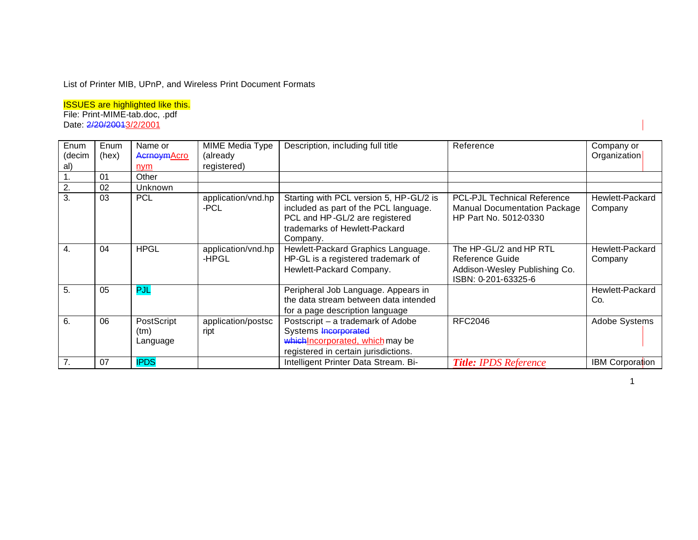## List of Printer MIB, UPnP, and Wireless Print Document Formats

ISSUES are highlighted like this. File: Print-MIME-tab.doc, .pdf

Date: 2/20/20013/2/2001

| Enum   | Enum  | Name or                        | MIME Media Type             | Description, including full title                                                                                                                               | Reference                                                                                          | Company or                 |
|--------|-------|--------------------------------|-----------------------------|-----------------------------------------------------------------------------------------------------------------------------------------------------------------|----------------------------------------------------------------------------------------------------|----------------------------|
| (decim | (hex) | AcrnoymAcro                    | (already                    |                                                                                                                                                                 |                                                                                                    | Organization               |
| al)    |       | nym                            | registered)                 |                                                                                                                                                                 |                                                                                                    |                            |
|        | 01    | Other                          |                             |                                                                                                                                                                 |                                                                                                    |                            |
| 2.     | 02    | Unknown                        |                             |                                                                                                                                                                 |                                                                                                    |                            |
| 3.     | 03    | <b>PCL</b>                     | application/vnd.hp<br>-PCL  | Starting with PCL version 5, HP-GL/2 is<br>included as part of the PCL language.<br>PCL and HP-GL/2 are registered<br>trademarks of Hewlett-Packard<br>Company. | <b>PCL-PJL Technical Reference</b><br><b>Manual Documentation Package</b><br>HP Part No. 5012-0330 | Hewlett-Packard<br>Company |
| 4.     | 04    | <b>HPGL</b>                    | application/vnd.hp<br>-HPGL | Hewlett-Packard Graphics Language.<br>HP-GL is a registered trademark of<br>Hewlett-Packard Company.                                                            | The HP-GL/2 and HP RTL<br>Reference Guide<br>Addison-Wesley Publishing Co.<br>ISBN: 0-201-63325-6  | Hewlett-Packard<br>Company |
| 5.     | 05    | PJL                            |                             | Peripheral Job Language. Appears in<br>the data stream between data intended<br>for a page description language                                                 |                                                                                                    | Hewlett-Packard<br>Co.     |
| 6.     | 06    | PostScript<br>(tm)<br>Language | application/postsc<br>ript  | Postscript – a trademark of Adobe<br>Systems Incorporated<br>which Incorporated, which may be<br>registered in certain jurisdictions.                           | <b>RFC2046</b>                                                                                     | Adobe Systems              |
| 7.     | 07    | <b>IPDS</b>                    |                             | Intelligent Printer Data Stream. Bi-                                                                                                                            | <b>Title: IPDS Reference</b>                                                                       | <b>IBM Corporation</b>     |

directional print data stream for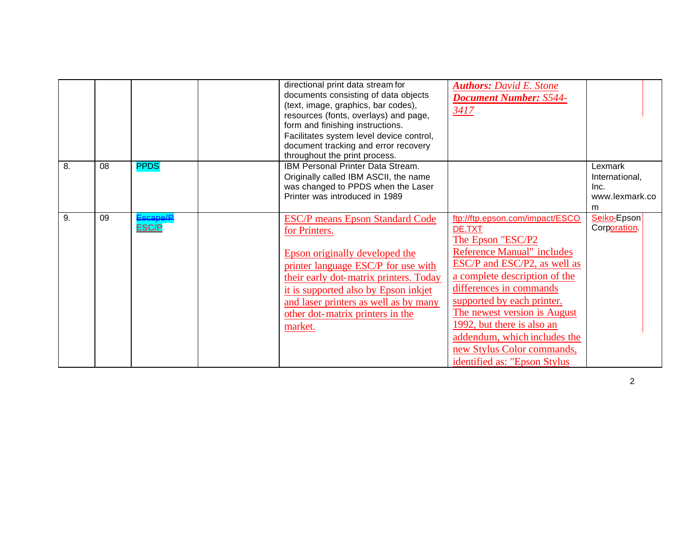|    |    |                  | directional print data stream for<br>documents consisting of data objects<br>(text, image, graphics, bar codes),<br>resources (fonts, overlays) and page,<br>form and finishing instructions.<br>Facilitates system level device control,<br>document tracking and error recovery<br>throughout the print process. | <b>Authors: David E. Stone</b><br><b>Document Number: S544-</b><br>3417                                                                                                                                                                                                                                                                                                                   |                                                          |
|----|----|------------------|--------------------------------------------------------------------------------------------------------------------------------------------------------------------------------------------------------------------------------------------------------------------------------------------------------------------|-------------------------------------------------------------------------------------------------------------------------------------------------------------------------------------------------------------------------------------------------------------------------------------------------------------------------------------------------------------------------------------------|----------------------------------------------------------|
| 8. | 08 | <b>PPDS</b>      | IBM Personal Printer Data Stream.<br>Originally called IBM ASCII, the name<br>was changed to PPDS when the Laser<br>Printer was introduced in 1989                                                                                                                                                                 |                                                                                                                                                                                                                                                                                                                                                                                           | Lexmark<br>International,<br>Inc.<br>www.lexmark.co<br>m |
| 9. | 09 | scane/E<br>ESC/P | <b>ESC/P</b> means Epson Standard Code<br>for Printers.<br>Epson originally developed the<br>printer language ESC/P for use with<br>their early dot-matrix printers. Today<br>it is supported also by Epson inkjet<br>and laser printers as well as by many<br>other dot-matrix printers in the<br>market.         | ftp://ftp.epson.com/impact/ESCO<br>DE.TXT<br>The Epson "ESC/P2<br><b>Reference Manual"</b> includes<br>ESC/P and ESC/P2, as well as<br>a complete description of the<br>differences in commands<br>supported by each printer.<br>The newest version is August<br>1992, but there is also an<br>addendum, which includes the<br>new Stylus Color commands,<br>identified as: "Epson Stylus | Seiko-Epson<br>Corporation                               |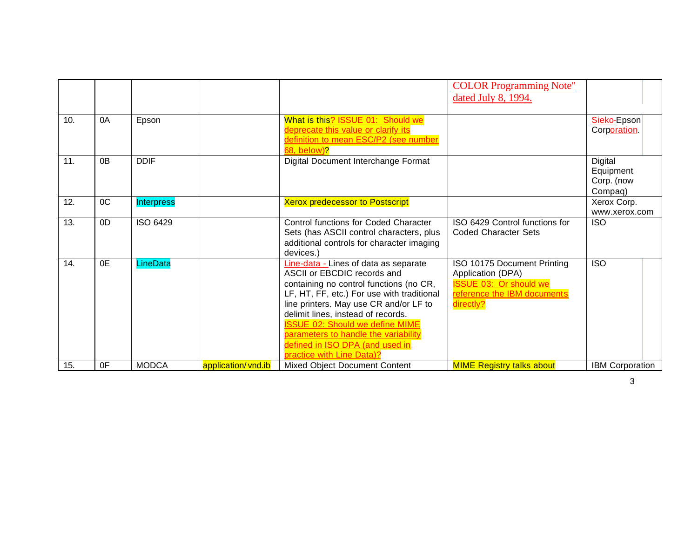|     |    |                   |                     |                                                                                                                                                                                                                                                                                                                                                                                                 | <b>COLOR Programming Note"</b><br>dated July 8, 1994.                                                                         |                                               |
|-----|----|-------------------|---------------------|-------------------------------------------------------------------------------------------------------------------------------------------------------------------------------------------------------------------------------------------------------------------------------------------------------------------------------------------------------------------------------------------------|-------------------------------------------------------------------------------------------------------------------------------|-----------------------------------------------|
| 10. | 0A | Epson             |                     | What is this? ISSUE 01: Should we<br>deprecate this value or clarify its<br>definition to mean ESC/P2 (see number<br>68, below)?                                                                                                                                                                                                                                                                |                                                                                                                               | Sieko-Epson<br>Corporation                    |
| 11. | 0B | <b>DDIF</b>       |                     | Digital Document Interchange Format                                                                                                                                                                                                                                                                                                                                                             |                                                                                                                               | Digital<br>Equipment<br>Corp. (now<br>Compaq) |
| 12. | OC | <b>Interpress</b> |                     | <b>Xerox predecessor to Postscript</b>                                                                                                                                                                                                                                                                                                                                                          |                                                                                                                               | Xerox Corp.<br>www.xerox.com                  |
| 13. | 0D | ISO 6429          |                     | Control functions for Coded Character<br>Sets (has ASCII control characters, plus<br>additional controls for character imaging<br>devices.)                                                                                                                                                                                                                                                     | ISO 6429 Control functions for<br><b>Coded Character Sets</b>                                                                 | <b>ISO</b>                                    |
| 14. | 0E | LineData          |                     | Line-data - Lines of data as separate<br>ASCII or EBCDIC records and<br>containing no control functions (no CR,<br>LF, HT, FF, etc.) For use with traditional<br>line printers. May use CR and/or LF to<br>delimit lines, instead of records.<br><b>ISSUE 02: Should we define MIME</b><br>parameters to handle the variability<br>defined in ISO DPA (and used in<br>practice with Line Data)? | ISO 10175 Document Printing<br>Application (DPA)<br><b>ISSUE 03: Or should we</b><br>reference the IBM documents<br>directly? | <b>ISO</b>                                    |
| 15. | 0F | <b>MODCA</b>      | application/ vnd.ib | Mixed Object Document Content                                                                                                                                                                                                                                                                                                                                                                   | <b>MIME Registry talks about</b>                                                                                              | <b>IBM Corporation</b>                        |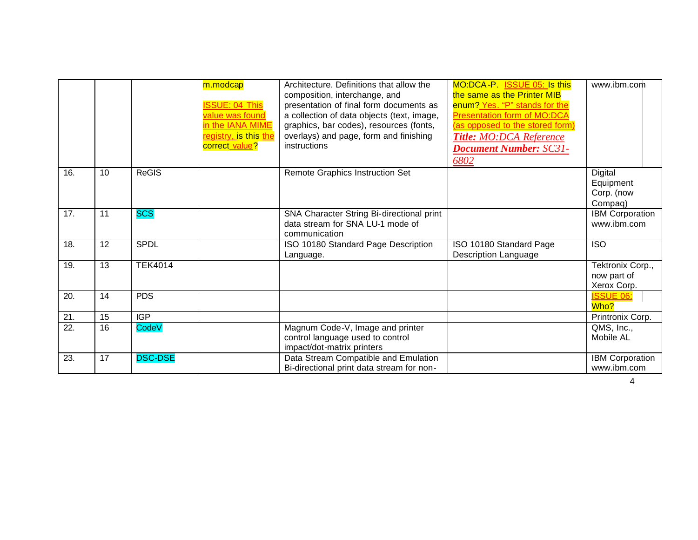|                   |    |                | m.modcap<br><b>ISSUE: 04 This</b><br>value was found<br>in the IANA MIME<br>registry, is this the<br>correct_value? | Architecture. Definitions that allow the<br>composition, interchange, and<br>presentation of final form documents as<br>a collection of data objects (text, image,<br>graphics, bar codes), resources (fonts,<br>overlays) and page, form and finishing<br>instructions | MO:DCA-P ISSUE 05: Is this<br>the same as the Printer MIB<br>enum? Yes. "P" stands for the<br><b>Presentation form of MO:DCA</b><br>(as opposed to the stored form)<br><b>Title: MO:DCA Reference</b><br><b>Document Number: SC31-</b><br>6802 | www.ibm.com                                    |
|-------------------|----|----------------|---------------------------------------------------------------------------------------------------------------------|-------------------------------------------------------------------------------------------------------------------------------------------------------------------------------------------------------------------------------------------------------------------------|------------------------------------------------------------------------------------------------------------------------------------------------------------------------------------------------------------------------------------------------|------------------------------------------------|
| 16.               | 10 | <b>ReGIS</b>   |                                                                                                                     | Remote Graphics Instruction Set                                                                                                                                                                                                                                         |                                                                                                                                                                                                                                                | Digital<br>Equipment<br>Corp. (now<br>Compaq)  |
| 17.               | 11 | <b>SCS</b>     |                                                                                                                     | SNA Character String Bi-directional print<br>data stream for SNA LU-1 mode of<br>communication                                                                                                                                                                          |                                                                                                                                                                                                                                                | <b>IBM Corporation</b><br>www.ibm.com          |
| 18.               | 12 | SPDL           |                                                                                                                     | ISO 10180 Standard Page Description<br>Language.                                                                                                                                                                                                                        | ISO 10180 Standard Page<br><b>Description Language</b>                                                                                                                                                                                         | <b>ISO</b>                                     |
| 19.               | 13 | <b>TEK4014</b> |                                                                                                                     |                                                                                                                                                                                                                                                                         |                                                                                                                                                                                                                                                | Tektronix Corp.,<br>now part of<br>Xerox Corp. |
| 20.               | 14 | <b>PDS</b>     |                                                                                                                     |                                                                                                                                                                                                                                                                         |                                                                                                                                                                                                                                                | <b>ISSUE 06:</b><br>Who?                       |
| 21.               | 15 | <b>IGP</b>     |                                                                                                                     |                                                                                                                                                                                                                                                                         |                                                                                                                                                                                                                                                | Printronix Corp.                               |
| $\overline{22}$ . | 16 | CodeV          |                                                                                                                     | Magnum Code-V, Image and printer<br>control language used to control<br>impact/dot-matrix printers                                                                                                                                                                      |                                                                                                                                                                                                                                                | QMS, Inc.,<br>Mobile AL                        |
| 23.               | 17 | <b>DSC-DSE</b> |                                                                                                                     | Data Stream Compatible and Emulation<br>Bi-directional print data stream for non-                                                                                                                                                                                       |                                                                                                                                                                                                                                                | <b>IBM Corporation</b><br>www.ibm.com          |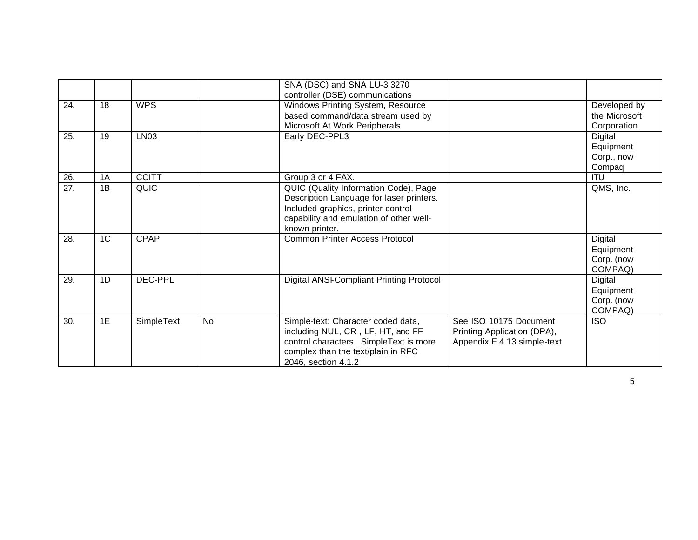|     |                |              |           | SNA (DSC) and SNA LU-3 3270<br>controller (DSE) communications                    |                             |                              |
|-----|----------------|--------------|-----------|-----------------------------------------------------------------------------------|-----------------------------|------------------------------|
| 24. | 18             | <b>WPS</b>   |           | Windows Printing System, Resource                                                 |                             | Developed by                 |
|     |                |              |           | based command/data stream used by<br>Microsoft At Work Peripherals                |                             | the Microsoft<br>Corporation |
| 25. | 19             | LN03         |           | Early DEC-PPL3                                                                    |                             | Digital                      |
|     |                |              |           |                                                                                   |                             | Equipment                    |
|     |                |              |           |                                                                                   |                             | Corp., now                   |
|     |                |              |           |                                                                                   |                             | Compaq                       |
| 26. | 1A             | <b>CCITT</b> |           | Group 3 or 4 FAX.                                                                 |                             | <b>ITU</b>                   |
| 27. | 1B             | <b>QUIC</b>  |           | QUIC (Quality Information Code), Page<br>Description Language for laser printers. |                             | QMS, Inc.                    |
|     |                |              |           | Included graphics, printer control                                                |                             |                              |
|     |                |              |           | capability and emulation of other well-                                           |                             |                              |
|     |                |              |           | known printer.                                                                    |                             |                              |
| 28. | 1 <sup>C</sup> | <b>CPAP</b>  |           | <b>Common Printer Access Protocol</b>                                             |                             | Digital                      |
|     |                |              |           |                                                                                   |                             | Equipment                    |
|     |                |              |           |                                                                                   |                             | Corp. (now                   |
|     |                |              |           |                                                                                   |                             | COMPAQ)                      |
| 29. | 1D             | DEC-PPL      |           | Digital ANSI-Compliant Printing Protocol                                          |                             | Digital                      |
|     |                |              |           |                                                                                   |                             | Equipment                    |
|     |                |              |           |                                                                                   |                             | Corp. (now                   |
|     |                |              |           |                                                                                   |                             | COMPAQ)                      |
| 30. | 1E             | SimpleText   | <b>No</b> | Simple-text: Character coded data,                                                | See ISO 10175 Document      | <b>ISO</b>                   |
|     |                |              |           | including NUL, CR, LF, HT, and FF                                                 | Printing Application (DPA), |                              |
|     |                |              |           | control characters. SimpleText is more                                            | Appendix F.4.13 simple-text |                              |
|     |                |              |           | complex than the text/plain in RFC                                                |                             |                              |
|     |                |              |           | 2046, section 4.1.2                                                               |                             |                              |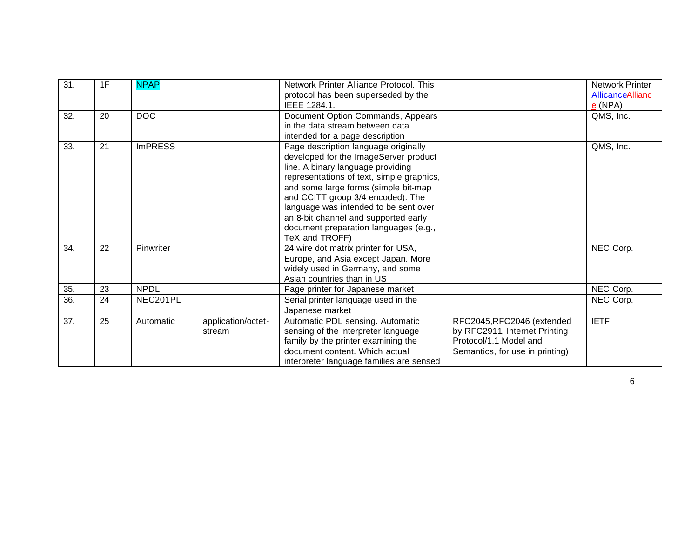| $\overline{31}$ . | 1F | <b>NPAP</b>    |                              | Network Printer Alliance Protocol. This<br>protocol has been superseded by the<br>IEEE 1284.1.                                                                                                                                                                                                                                                                                           |                                                                                                                          | Network Printer<br>Allicance Allianc<br>$e$ (NPA) |
|-------------------|----|----------------|------------------------------|------------------------------------------------------------------------------------------------------------------------------------------------------------------------------------------------------------------------------------------------------------------------------------------------------------------------------------------------------------------------------------------|--------------------------------------------------------------------------------------------------------------------------|---------------------------------------------------|
| 32.               | 20 | <b>DOC</b>     |                              | Document Option Commands, Appears<br>in the data stream between data<br>intended for a page description                                                                                                                                                                                                                                                                                  |                                                                                                                          | QMS, Inc.                                         |
| 33.               | 21 | <b>ImPRESS</b> |                              | Page description language originally<br>developed for the ImageServer product<br>line. A binary language providing<br>representations of text, simple graphics,<br>and some large forms (simple bit-map<br>and CCITT group 3/4 encoded). The<br>language was intended to be sent over<br>an 8-bit channel and supported early<br>document preparation languages (e.g.,<br>TeX and TROFF) |                                                                                                                          | QMS, Inc.                                         |
| 34.               | 22 | Pinwriter      |                              | 24 wire dot matrix printer for USA,<br>Europe, and Asia except Japan. More<br>widely used in Germany, and some<br>Asian countries than in US                                                                                                                                                                                                                                             |                                                                                                                          | NEC Corp.                                         |
| 35.               | 23 | <b>NPDL</b>    |                              | Page printer for Japanese market                                                                                                                                                                                                                                                                                                                                                         |                                                                                                                          | NEC Corp.                                         |
| 36.               | 24 | NEC201PL       |                              | Serial printer language used in the<br>Japanese market                                                                                                                                                                                                                                                                                                                                   |                                                                                                                          | NEC Corp.                                         |
| 37.               | 25 | Automatic      | application/octet-<br>stream | Automatic PDL sensing. Automatic<br>sensing of the interpreter language<br>family by the printer examining the<br>document content. Which actual<br>interpreter language families are sensed                                                                                                                                                                                             | RFC2045, RFC2046 (extended<br>by RFC2911, Internet Printing<br>Protocol/1.1 Model and<br>Semantics, for use in printing) | <b>IETF</b>                                       |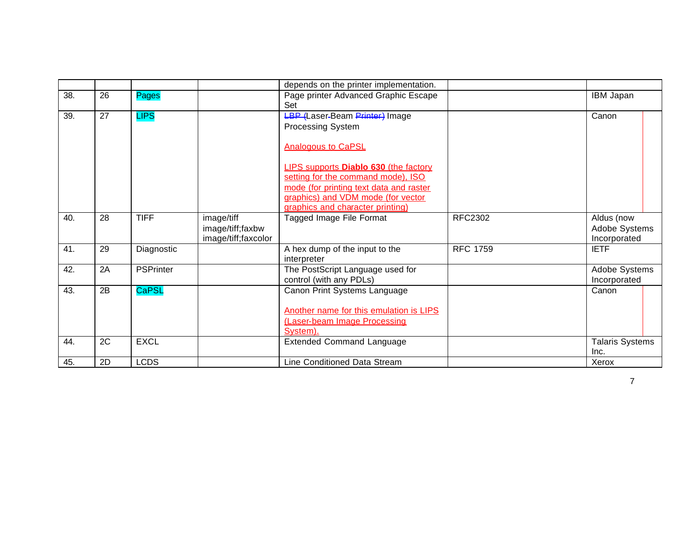|     |    |                  |                                                       | depends on the printer implementation.                                                                                                                                                                  |                 |                                             |  |
|-----|----|------------------|-------------------------------------------------------|---------------------------------------------------------------------------------------------------------------------------------------------------------------------------------------------------------|-----------------|---------------------------------------------|--|
| 38. | 26 | Pages            |                                                       | Page printer Advanced Graphic Escape<br>Set                                                                                                                                                             |                 | IBM Japan                                   |  |
| 39. | 27 | <b>LIPS</b>      |                                                       | <b>LBP</b> (Laser-Beam Printer) Image<br><b>Processing System</b><br><b>Analogous to CaPSL</b>                                                                                                          |                 | Canon                                       |  |
|     |    |                  |                                                       | <b>LIPS supports Diablo 630 (the factory</b><br>setting for the command mode), ISO<br>mode (for printing text data and raster<br>graphics) and VDM mode (for vector<br>graphics and character printing) |                 |                                             |  |
| 40. | 28 | <b>TIFF</b>      | image/tiff<br>image/tiff;faxbw<br>image/tiff;faxcolor | Tagged Image File Format                                                                                                                                                                                | <b>RFC2302</b>  | Aldus (now<br>Adobe Systems<br>Incorporated |  |
| 41. | 29 | Diagnostic       |                                                       | A hex dump of the input to the<br>interpreter                                                                                                                                                           | <b>RFC 1759</b> | <b>IETF</b>                                 |  |
| 42. | 2A | <b>PSPrinter</b> |                                                       | The PostScript Language used for<br>control (with any PDLs)                                                                                                                                             |                 | Adobe Systems<br>Incorporated               |  |
| 43. | 2B | <b>CaPSL</b>     |                                                       | Canon Print Systems Language<br>Another name for this emulation is LIPS<br>(Laser-beam Image Processing<br>System).                                                                                     |                 | Canon                                       |  |
| 44. | 2C | <b>EXCL</b>      |                                                       | <b>Extended Command Language</b>                                                                                                                                                                        |                 | <b>Talaris Systems</b><br>Inc.              |  |
| 45. | 2D | <b>LCDS</b>      |                                                       | Line Conditioned Data Stream                                                                                                                                                                            |                 | Xerox                                       |  |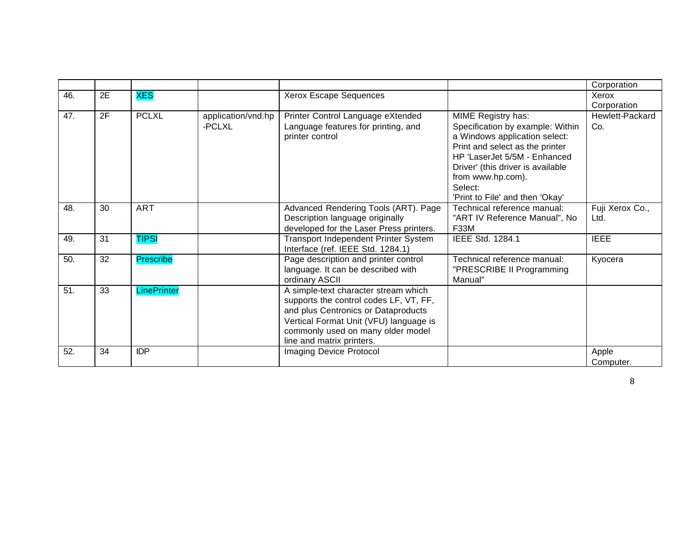|     |    |                    |                    |                                         |                                   | Corporation     |
|-----|----|--------------------|--------------------|-----------------------------------------|-----------------------------------|-----------------|
| 46. | 2E | <b>XES</b>         |                    | Xerox Escape Sequences                  |                                   | Xerox           |
|     |    |                    |                    |                                         |                                   | Corporation     |
| 47. | 2F | <b>PCLXL</b>       | application/vnd.hp | Printer Control Language eXtended       | MIME Registry has:                | Hewlett-Packard |
|     |    |                    | -PCLXL             | Language features for printing, and     | Specification by example: Within  | Co.             |
|     |    |                    |                    | printer control                         | a Windows application select:     |                 |
|     |    |                    |                    |                                         | Print and select as the printer   |                 |
|     |    |                    |                    |                                         | HP 'LaserJet 5/5M - Enhanced      |                 |
|     |    |                    |                    |                                         | Driver' (this driver is available |                 |
|     |    |                    |                    |                                         | from www.hp.com).                 |                 |
|     |    |                    |                    |                                         | Select:                           |                 |
|     |    |                    |                    |                                         | 'Print to File' and then 'Okay'   |                 |
| 48. | 30 | <b>ART</b>         |                    | Advanced Rendering Tools (ART). Page    | Technical reference manual:       | Fuji Xerox Co., |
|     |    |                    |                    | Description language originally         | "ART IV Reference Manual", No     | Ltd.            |
|     |    |                    |                    | developed for the Laser Press printers. | <b>F33M</b>                       |                 |
| 49. | 31 | <b>TIPSI</b>       |                    | Transport Independent Printer System    | IEEE Std. 1284.1                  | <b>IEEE</b>     |
|     |    |                    |                    | Interface (ref. IEEE Std. 1284.1)       |                                   |                 |
| 50. | 32 | <b>Prescribe</b>   |                    | Page description and printer control    | Technical reference manual:       | Kyocera         |
|     |    |                    |                    | language. It can be described with      | "PRESCRIBE II Programming         |                 |
|     |    |                    |                    | ordinary ASCII                          | Manual"                           |                 |
| 51. | 33 | <b>LinePrinter</b> |                    | A simple-text character stream which    |                                   |                 |
|     |    |                    |                    | supports the control codes LF, VT, FF,  |                                   |                 |
|     |    |                    |                    | and plus Centronics or Dataproducts     |                                   |                 |
|     |    |                    |                    | Vertical Format Unit (VFU) language is  |                                   |                 |
|     |    |                    |                    | commonly used on many older model       |                                   |                 |
|     |    |                    |                    | line and matrix printers.               |                                   |                 |
| 52. | 34 | <b>IDP</b>         |                    | Imaging Device Protocol                 |                                   | Apple           |
|     |    |                    |                    |                                         |                                   | Computer.       |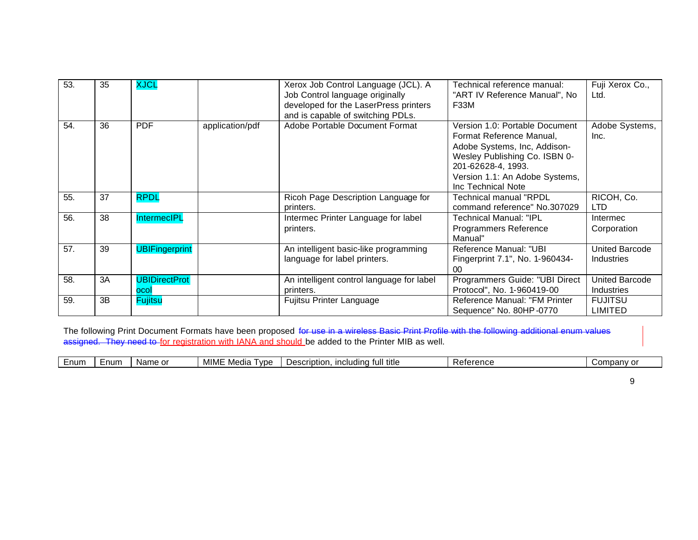| 53. | 35 | <b>XJCL</b>                  |                 | Xerox Job Control Language (JCL). A<br>Job Control language originally<br>developed for the LaserPress printers | Technical reference manual:<br>"ART IV Reference Manual", No<br>F33M                                            | Fuji Xerox Co.,<br>Ltd.                    |
|-----|----|------------------------------|-----------------|-----------------------------------------------------------------------------------------------------------------|-----------------------------------------------------------------------------------------------------------------|--------------------------------------------|
| 54. | 36 | <b>PDF</b>                   | application/pdf | and is capable of switching PDLs.<br>Adobe Portable Document Format                                             | Version 1.0: Portable Document                                                                                  | Adobe Systems,                             |
|     |    |                              |                 |                                                                                                                 | Format Reference Manual,<br>Adobe Systems, Inc, Addison-<br>Wesley Publishing Co. ISBN 0-<br>201-62628-4, 1993. | Inc.                                       |
|     |    |                              |                 |                                                                                                                 | Version 1.1: An Adobe Systems,<br>Inc Technical Note                                                            |                                            |
| 55. | 37 | <b>RPDL</b>                  |                 | Ricoh Page Description Language for<br>printers.                                                                | Technical manual "RPDL<br>command reference" No.307029                                                          | RICOH, Co.<br><b>LTD</b>                   |
| 56. | 38 | <b>IntermecIPL</b>           |                 | Intermec Printer Language for label<br>printers.                                                                | Technical Manual: "IPL<br>Programmers Reference<br>Manual"                                                      | Intermec<br>Corporation                    |
| 57. | 39 | <b>UBIFingerprint</b>        |                 | An intelligent basic-like programming<br>language for label printers.                                           | Reference Manual: "UBI<br>Fingerprint 7.1", No. 1-960434-<br>00                                                 | United Barcode<br>Industries               |
| 58. | 3A | <b>UBIDirectProt</b><br>ocol |                 | An intelligent control language for label<br>printers.                                                          | Programmers Guide: "UBI Direct<br>Protocol", No. 1-960419-00                                                    | <b>United Barcode</b><br><b>Industries</b> |
| 59. | 3B | <b>Fujitsu</b>               |                 | Fujitsu Printer Language                                                                                        | Reference Manual: "FM Printer<br>Sequence" No. 80HP-0770                                                        | <b>FUJITSU</b><br>LIMITED                  |

The following Print Document Formats have been proposed for use in a wireless Basic Print Profile with the following additional enum values assigned. They need to for registration with IANA and should be added to the Printer MIB as well.

| <b>MIMI</b><br>ˈtitle<br>:num<br>num<br>$\sim$<br>$\sqrt{2}$<br>tull<br>;criptior<br>Media<br>. Name<br>omn<br>1001110100<br>$\sim$<br>atarar<br>∍ ⊐ا الت<br>.<br>10000000<br>$\overline{\phantom{a}}$<br>$\cdot$<br>www |  |
|--------------------------------------------------------------------------------------------------------------------------------------------------------------------------------------------------------------------------|--|
|--------------------------------------------------------------------------------------------------------------------------------------------------------------------------------------------------------------------------|--|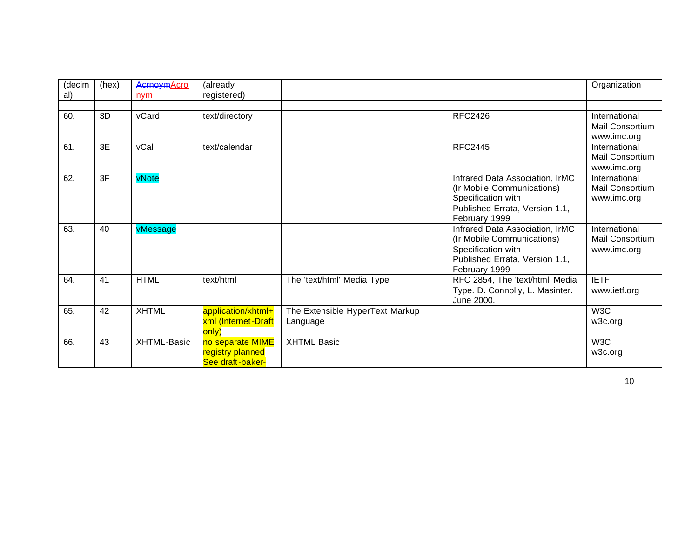| (decim | (hex)           | <b>AcrnoymAcro</b> | (already                                                 |                                             |                                                                                                                                        | Organization                                    |
|--------|-----------------|--------------------|----------------------------------------------------------|---------------------------------------------|----------------------------------------------------------------------------------------------------------------------------------------|-------------------------------------------------|
| al)    |                 | nym                | registered)                                              |                                             |                                                                                                                                        |                                                 |
| 60.    | 3D              | vCard              | text/directory                                           |                                             | <b>RFC2426</b>                                                                                                                         | International<br>Mail Consortium<br>www.imc.org |
| 61.    | $\overline{3E}$ | vCal               | text/calendar                                            |                                             | <b>RFC2445</b>                                                                                                                         | International<br>Mail Consortium<br>www.imc.org |
| 62.    | $\overline{3F}$ | vNote              |                                                          |                                             | Infrared Data Association, IrMC<br>(Ir Mobile Communications)<br>Specification with<br>Published Errata, Version 1.1,<br>February 1999 | International<br>Mail Consortium<br>www.imc.org |
| 63.    | 40              | vMessage           |                                                          |                                             | Infrared Data Association, IrMC<br>(Ir Mobile Communications)<br>Specification with<br>Published Errata, Version 1.1,<br>February 1999 | International<br>Mail Consortium<br>www.imc.org |
| 64.    | 41              | <b>HTML</b>        | text/html                                                | The 'text/html' Media Type                  | RFC 2854, The 'text/html' Media<br>Type. D. Connolly, L. Masinter.<br>June 2000.                                                       | <b>IETF</b><br>www.ietf.org                     |
| 65.    | 42              | <b>XHTML</b>       | application/xhtml+<br>xml (Internet-Draft<br>only)       | The Extensible HyperText Markup<br>Language |                                                                                                                                        | W3C<br>w3c.org                                  |
| 66.    | 43              | XHTML-Basic        | no separate MIME<br>registry planned<br>See draft-baker- | <b>XHTML Basic</b>                          |                                                                                                                                        | W3C<br>w3c.org                                  |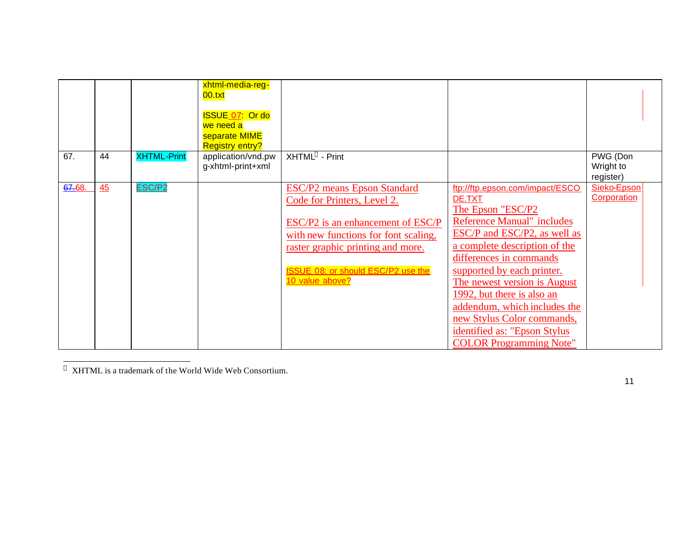|        |    |                    | xhtml-media-reg-<br>00.txt<br><b>ISSUE 07 Or do</b><br>we need a<br>separate MIME<br><b>Registry entry?</b> |                                                                                                                                                                                                                                                     |                                                                                                                                                                                                                                                                                                                                                                                                                              |                                    |
|--------|----|--------------------|-------------------------------------------------------------------------------------------------------------|-----------------------------------------------------------------------------------------------------------------------------------------------------------------------------------------------------------------------------------------------------|------------------------------------------------------------------------------------------------------------------------------------------------------------------------------------------------------------------------------------------------------------------------------------------------------------------------------------------------------------------------------------------------------------------------------|------------------------------------|
| 67.    | 44 | <b>XHTML-Print</b> | application/vnd.pw<br>g-xhtml-print+xml                                                                     | XHTML™ - Print                                                                                                                                                                                                                                      |                                                                                                                                                                                                                                                                                                                                                                                                                              | PWG (Don<br>Wright to<br>register) |
| 67.68. | 45 | ESC/P <sub>2</sub> |                                                                                                             | <b>ESC/P2</b> means Epson Standard<br>Code for Printers, Level 2.<br>ESC/P2 is an enhancement of ESC/P<br>with new functions for font scaling,<br>raster graphic printing and more.<br><b>ISSUE 08: or should ESC/P2 use the</b><br>10 value above? | ftp://ftp.epson.com/impact/ESCO<br>DE.TXT<br>The Epson "ESC/P2<br><b>Reference Manual"</b> includes<br>ESC/P and ESC/P2, as well as<br>a complete description of the<br>differences in commands<br>supported by each printer.<br>The newest version is August<br>1992, but there is also an<br>addendum, which includes the<br>new Stylus Color commands,<br>identified as: "Epson Stylus"<br><b>COLOR Programming Note"</b> | Sieko-Epson<br>Corporation         |

XHTML is a trademark of the World Wide Web Consortium.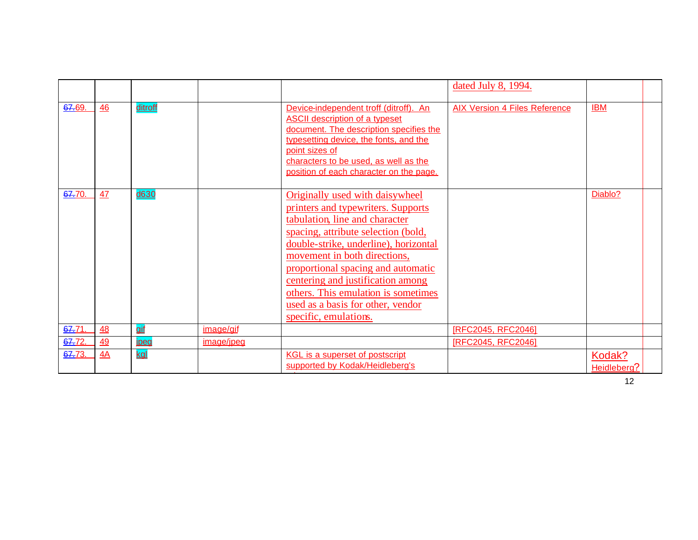|        |    |            |            |                                                                                                                                                                                                                                                                                                                                                                                                         | dated July 8, 1994.                  |                                     |  |
|--------|----|------------|------------|---------------------------------------------------------------------------------------------------------------------------------------------------------------------------------------------------------------------------------------------------------------------------------------------------------------------------------------------------------------------------------------------------------|--------------------------------------|-------------------------------------|--|
| 67.69. | 46 | ditroff    |            | Device-independent troff (ditroff). An<br><b>ASCII description of a typeset</b><br>document. The description specifies the<br>typesetting device, the fonts, and the<br>point sizes of<br>characters to be used, as well as the<br>position of each character on the page.                                                                                                                              | <b>AIX Version 4 Files Reference</b> | <b>IBM</b>                          |  |
| 67.70. | 47 | d630       |            | Originally used with daisywheel<br>printers and typewriters. Supports<br>tabulation, line and character<br>spacing, attribute selection (bold,<br>double-strike, underline), horizontal<br>movement in both directions,<br>proportional spacing and automatic<br>centering and justification among<br>others. This emulation is sometimes<br>used as a basis for other, vendor<br>specific, emulations. |                                      | Diablo?                             |  |
| 67.71. | 48 | gif        | image/gif  |                                                                                                                                                                                                                                                                                                                                                                                                         | [RFC2045, RFC2046]                   |                                     |  |
| 67.72. | 49 | ipeg       | image/jpeg |                                                                                                                                                                                                                                                                                                                                                                                                         | [RFC2045, RFC2046]                   |                                     |  |
| 67.73. | 4A | <u>kal</u> |            | <b>KGL is a superset of postscript</b><br>supported by Kodak/Heidleberg's                                                                                                                                                                                                                                                                                                                               |                                      | Kodak?<br>Heidleberg?<br>$\sqrt{2}$ |  |